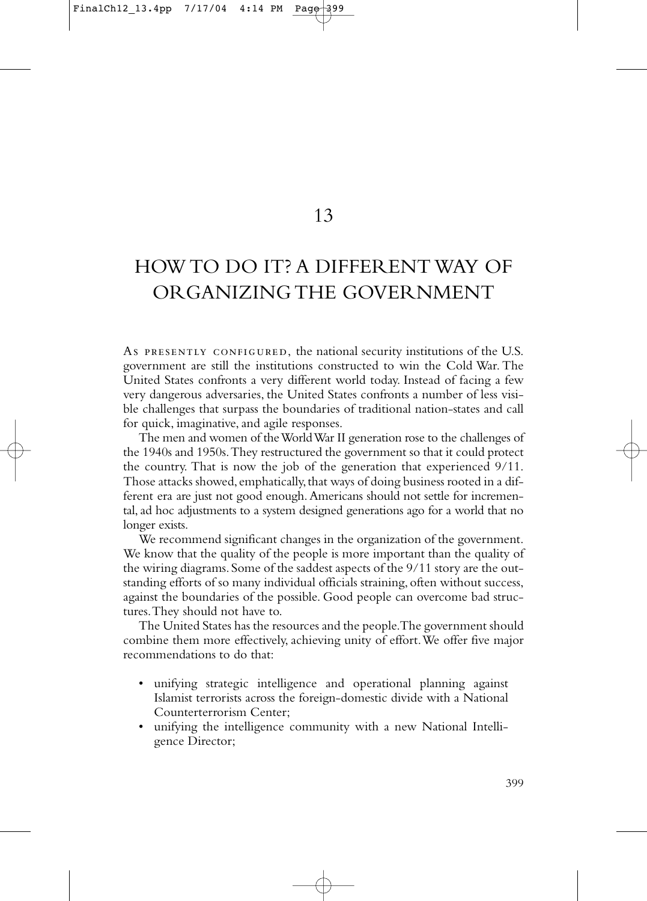13

# HOW TO DO IT? A DIFFERENT WAY OF ORGANIZING THE GOVERNMENT

As PRESENTLY CONFIGURED, the national security institutions of the U.S. government are still the institutions constructed to win the Cold War. The United States confronts a very different world today. Instead of facing a few very dangerous adversaries, the United States confronts a number of less visible challenges that surpass the boundaries of traditional nation-states and call for quick, imaginative, and agile responses.

The men and women of the World War II generation rose to the challenges of the 1940s and 1950s.They restructured the government so that it could protect the country. That is now the job of the generation that experienced 9/11. Those attacks showed, emphatically, that ways of doing business rooted in a different era are just not good enough. Americans should not settle for incremental, ad hoc adjustments to a system designed generations ago for a world that no longer exists.

We recommend significant changes in the organization of the government. We know that the quality of the people is more important than the quality of the wiring diagrams.Some of the saddest aspects of the 9/11 story are the outstanding efforts of so many individual officials straining, often without success, against the boundaries of the possible. Good people can overcome bad structures.They should not have to.

The United States has the resources and the people.The government should combine them more effectively, achieving unity of effort.We offer five major recommendations to do that:

- unifying strategic intelligence and operational planning against Islamist terrorists across the foreign-domestic divide with a National Counterterrorism Center;
- unifying the intelligence community with a new National Intelligence Director;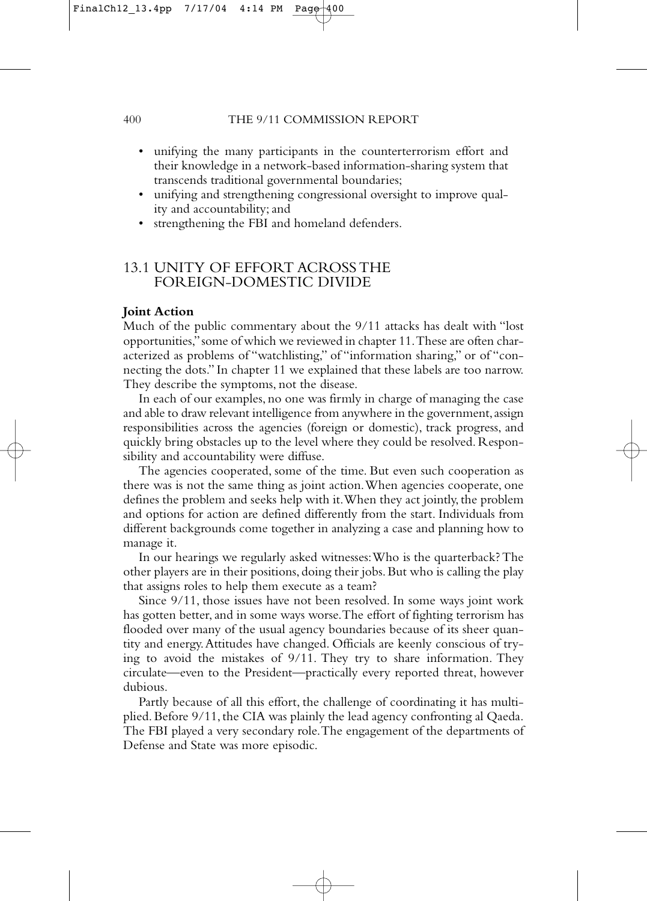- unifying the many participants in the counterterrorism effort and their knowledge in a network-based information-sharing system that transcends traditional governmental boundaries;
- unifying and strengthening congressional oversight to improve quality and accountability; and
- strengthening the FBI and homeland defenders.

## 13.1 UNITY OF EFFORT ACROSS THE FOREIGN-DOMESTIC DIVIDE

#### **Joint Action**

Much of the public commentary about the 9/11 attacks has dealt with "lost opportunities,"some of which we reviewed in chapter 11.These are often characterized as problems of "watchlisting," of "information sharing," or of "connecting the dots." In chapter 11 we explained that these labels are too narrow. They describe the symptoms, not the disease.

In each of our examples, no one was firmly in charge of managing the case and able to draw relevant intelligence from anywhere in the government, assign responsibilities across the agencies (foreign or domestic), track progress, and quickly bring obstacles up to the level where they could be resolved. Responsibility and accountability were diffuse.

The agencies cooperated, some of the time. But even such cooperation as there was is not the same thing as joint action.When agencies cooperate, one defines the problem and seeks help with it.When they act jointly, the problem and options for action are defined differently from the start. Individuals from different backgrounds come together in analyzing a case and planning how to manage it.

In our hearings we regularly asked witnesses:Who is the quarterback? The other players are in their positions,doing their jobs.But who is calling the play that assigns roles to help them execute as a team?

Since 9/11, those issues have not been resolved. In some ways joint work has gotten better, and in some ways worse.The effort of fighting terrorism has flooded over many of the usual agency boundaries because of its sheer quantity and energy.Attitudes have changed. Officials are keenly conscious of trying to avoid the mistakes of 9/11. They try to share information. They circulate—even to the President—practically every reported threat, however dubious.

Partly because of all this effort, the challenge of coordinating it has multiplied. Before 9/11, the CIA was plainly the lead agency confronting al Qaeda. The FBI played a very secondary role.The engagement of the departments of Defense and State was more episodic.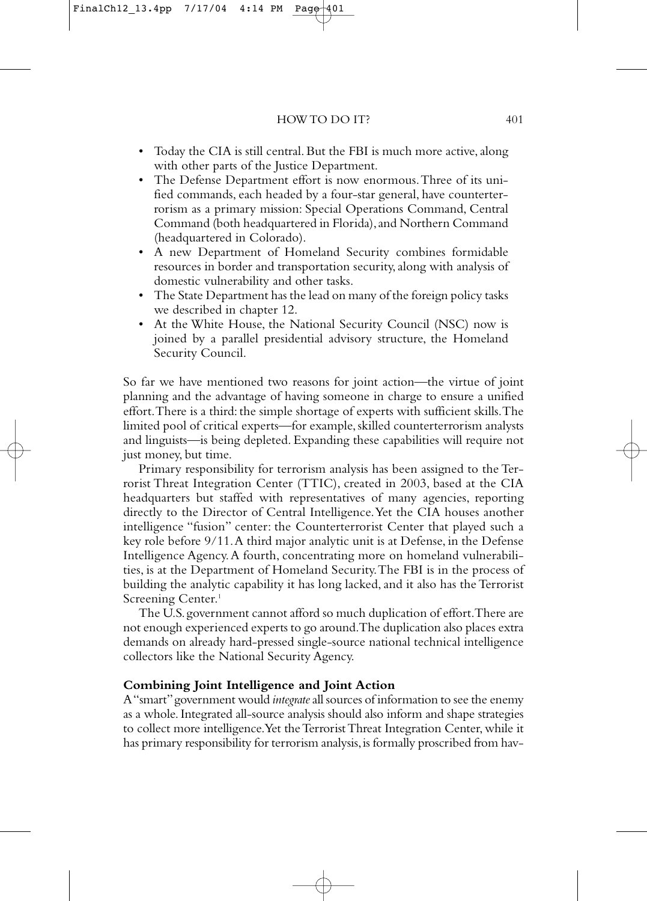- Today the CIA is still central. But the FBI is much more active, along with other parts of the Justice Department.
- The Defense Department effort is now enormous.Three of its unified commands, each headed by a four-star general, have counterterrorism as a primary mission: Special Operations Command, Central Command (both headquartered in Florida), and Northern Command (headquartered in Colorado).
- A new Department of Homeland Security combines formidable resources in border and transportation security, along with analysis of domestic vulnerability and other tasks.
- The State Department has the lead on many of the foreign policy tasks we described in chapter 12.
- At the White House, the National Security Council (NSC) now is joined by a parallel presidential advisory structure, the Homeland Security Council.

So far we have mentioned two reasons for joint action—the virtue of joint planning and the advantage of having someone in charge to ensure a unified effort.There is a third: the simple shortage of experts with sufficient skills.The limited pool of critical experts—for example,skilled counterterrorism analysts and linguists—is being depleted. Expanding these capabilities will require not just money, but time.

Primary responsibility for terrorism analysis has been assigned to the Terrorist Threat Integration Center (TTIC), created in 2003, based at the CIA headquarters but staffed with representatives of many agencies, reporting directly to the Director of Central Intelligence.Yet the CIA houses another intelligence "fusion" center: the Counterterrorist Center that played such a key role before 9/11.A third major analytic unit is at Defense, in the Defense Intelligence Agency.A fourth, concentrating more on homeland vulnerabilities, is at the Department of Homeland Security.The FBI is in the process of building the analytic capability it has long lacked, and it also has the Terrorist Screening Center.<sup>1</sup>

The U.S.government cannot afford so much duplication of effort.There are not enough experienced experts to go around.The duplication also places extra demands on already hard-pressed single-source national technical intelligence collectors like the National Security Agency.

# **Combining Joint Intelligence and Joint Action**

A "smart"government would *integrate*all sources of information to see the enemy as a whole. Integrated all-source analysis should also inform and shape strategies to collect more intelligence.Yet the Terrorist Threat Integration Center, while it has primary responsibility for terrorism analysis, is formally proscribed from hav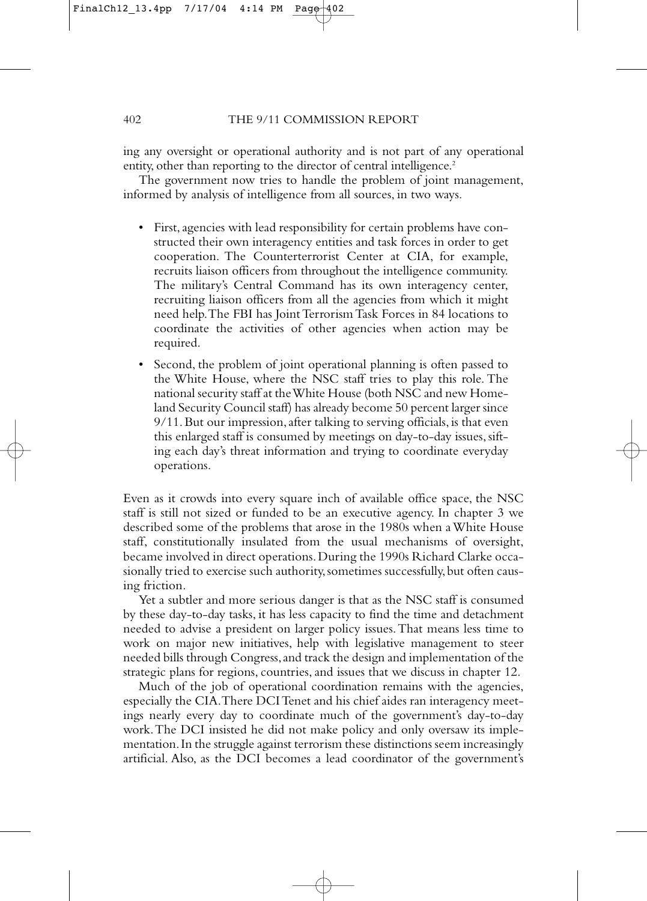ing any oversight or operational authority and is not part of any operational entity, other than reporting to the director of central intelligence.<sup>2</sup>

The government now tries to handle the problem of joint management, informed by analysis of intelligence from all sources, in two ways.

- First, agencies with lead responsibility for certain problems have constructed their own interagency entities and task forces in order to get cooperation. The Counterterrorist Center at CIA, for example, recruits liaison officers from throughout the intelligence community. The military's Central Command has its own interagency center, recruiting liaison officers from all the agencies from which it might need help.The FBI has Joint Terrorism Task Forces in 84 locations to coordinate the activities of other agencies when action may be required.
- Second, the problem of joint operational planning is often passed to the White House, where the NSC staff tries to play this role. The national security staff at the White House (both NSC and new Homeland Security Council staff) has already become 50 percent larger since 9/11. But our impression, after talking to serving officials, is that even this enlarged staff is consumed by meetings on day-to-day issues, sifting each day's threat information and trying to coordinate everyday operations.

Even as it crowds into every square inch of available office space, the NSC staff is still not sized or funded to be an executive agency. In chapter 3 we described some of the problems that arose in the 1980s when a White House staff, constitutionally insulated from the usual mechanisms of oversight, became involved in direct operations.During the 1990s Richard Clarke occasionally tried to exercise such authority, sometimes successfully, but often causing friction.

Yet a subtler and more serious danger is that as the NSC staff is consumed by these day-to-day tasks, it has less capacity to find the time and detachment needed to advise a president on larger policy issues.That means less time to work on major new initiatives, help with legislative management to steer needed bills through Congress,and track the design and implementation of the strategic plans for regions, countries, and issues that we discuss in chapter 12.

Much of the job of operational coordination remains with the agencies, especially the CIA.There DCI Tenet and his chief aides ran interagency meetings nearly every day to coordinate much of the government's day-to-day work.The DCI insisted he did not make policy and only oversaw its implementation.In the struggle against terrorism these distinctions seem increasingly artificial. Also, as the DCI becomes a lead coordinator of the government's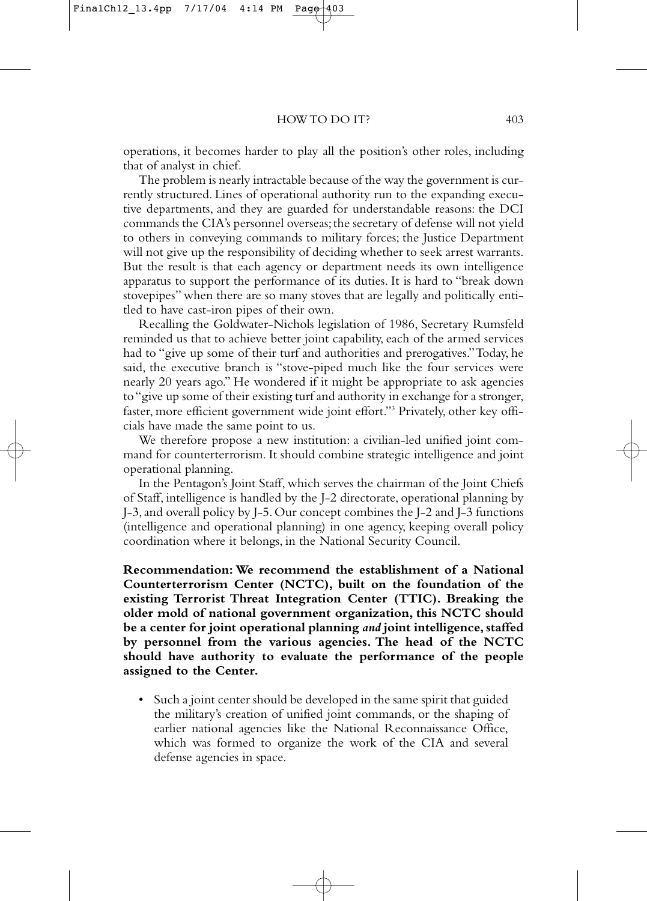operations, it becomes harder to play all the position's other roles, including that of analyst in chief.

The problem is nearly intractable because of the way the government is currently structured. Lines of operational authority run to the expanding executive departments, and they are guarded for understandable reasons: the DCI commands the CIA's personnel overseas;the secretary of defense will not yield to others in conveying commands to military forces; the Justice Department will not give up the responsibility of deciding whether to seek arrest warrants. But the result is that each agency or department needs its own intelligence apparatus to support the performance of its duties. It is hard to "break down stovepipes" when there are so many stoves that are legally and politically entitled to have cast-iron pipes of their own.

Recalling the Goldwater-Nichols legislation of 1986, Secretary Rumsfeld reminded us that to achieve better joint capability, each of the armed services had to "give up some of their turf and authorities and prerogatives."Today, he said, the executive branch is "stove-piped much like the four services were nearly 20 years ago." He wondered if it might be appropriate to ask agencies to "give up some of their existing turf and authority in exchange for a stronger, faster, more efficient government wide joint effort."3 Privately, other key officials have made the same point to us.

We therefore propose a new institution: a civilian-led unified joint command for counterterrorism. It should combine strategic intelligence and joint operational planning.

In the Pentagon's Joint Staff, which serves the chairman of the Joint Chiefs of Staff, intelligence is handled by the J-2 directorate, operational planning by J-3, and overall policy by J-5. Our concept combines the J-2 and J-3 functions (intelligence and operational planning) in one agency, keeping overall policy coordination where it belongs, in the National Security Council.

**Recommendation: We recommend the establishment of a National Counterterrorism Center (NCTC), built on the foundation of the existing Terrorist Threat Integration Center (TTIC). Breaking the older mold of national government organization, this NCTC should** be a center for joint operational planning *and* joint intelligence, staffed **by personnel from the various agencies. The head of the NCTC should have authority to evaluate the performance of the people assigned to the Center.**

• Such a joint center should be developed in the same spirit that guided the military's creation of unified joint commands, or the shaping of earlier national agencies like the National Reconnaissance Office, which was formed to organize the work of the CIA and several defense agencies in space.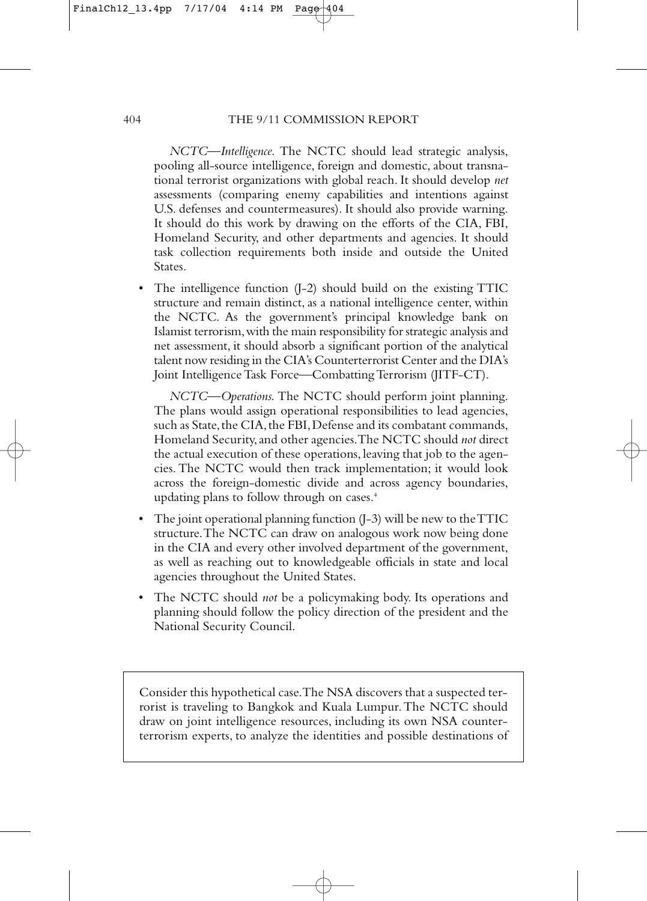*NCTC—Intelligence.* The NCTC should lead strategic analysis, pooling all-source intelligence, foreign and domestic, about transnational terrorist organizations with global reach. It should develop *net* assessments (comparing enemy capabilities and intentions against U.S. defenses and countermeasures). It should also provide warning. It should do this work by drawing on the efforts of the CIA, FBI, Homeland Security, and other departments and agencies. It should task collection requirements both inside and outside the United States.

• The intelligence function (J-2) should build on the existing TTIC structure and remain distinct, as a national intelligence center, within the NCTC. As the government's principal knowledge bank on Islamist terrorism,with the main responsibility for strategic analysis and net assessment, it should absorb a significant portion of the analytical talent now residing in the CIA's Counterterrorist Center and the DIA's Joint Intelligence Task Force—Combatting Terrorism (JITF-CT).

*NCTC—Operations.* The NCTC should perform joint planning. The plans would assign operational responsibilities to lead agencies, such as State, the CIA, the FBI, Defense and its combatant commands, Homeland Security,and other agencies.The NCTC should *not* direct the actual execution of these operations, leaving that job to the agencies. The NCTC would then track implementation; it would look across the foreign-domestic divide and across agency boundaries, updating plans to follow through on cases.4

- The joint operational planning function (J-3) will be new to the TTIC structure.The NCTC can draw on analogous work now being done in the CIA and every other involved department of the government, as well as reaching out to knowledgeable officials in state and local agencies throughout the United States.
- The NCTC should *not* be a policymaking body. Its operations and planning should follow the policy direction of the president and the National Security Council.

Consider this hypothetical case.The NSA discovers that a suspected terrorist is traveling to Bangkok and Kuala Lumpur.The NCTC should draw on joint intelligence resources, including its own NSA counterterrorism experts, to analyze the identities and possible destinations of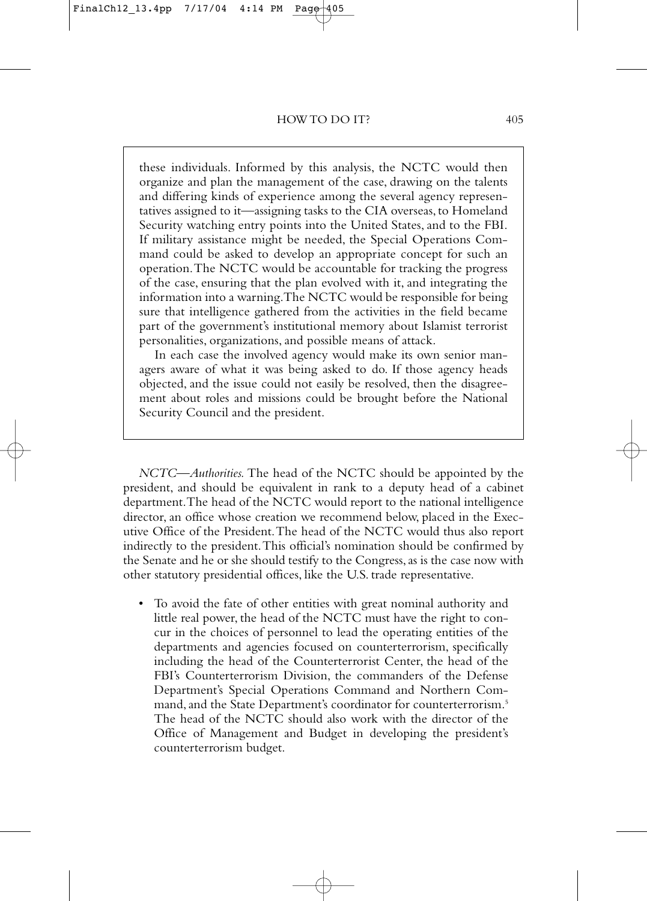these individuals. Informed by this analysis, the NCTC would then organize and plan the management of the case, drawing on the talents and differing kinds of experience among the several agency representatives assigned to it—assigning tasks to the CIA overseas, to Homeland Security watching entry points into the United States, and to the FBI. If military assistance might be needed, the Special Operations Command could be asked to develop an appropriate concept for such an operation.The NCTC would be accountable for tracking the progress of the case, ensuring that the plan evolved with it, and integrating the information into a warning.The NCTC would be responsible for being sure that intelligence gathered from the activities in the field became part of the government's institutional memory about Islamist terrorist personalities, organizations, and possible means of attack.

In each case the involved agency would make its own senior managers aware of what it was being asked to do. If those agency heads objected, and the issue could not easily be resolved, then the disagreement about roles and missions could be brought before the National Security Council and the president.

*NCTC—Authorities.* The head of the NCTC should be appointed by the president, and should be equivalent in rank to a deputy head of a cabinet department.The head of the NCTC would report to the national intelligence director, an office whose creation we recommend below, placed in the Executive Office of the President.The head of the NCTC would thus also report indirectly to the president.This official's nomination should be confirmed by the Senate and he or she should testify to the Congress, as is the case now with other statutory presidential offices, like the U.S. trade representative.

• To avoid the fate of other entities with great nominal authority and little real power, the head of the NCTC must have the right to concur in the choices of personnel to lead the operating entities of the departments and agencies focused on counterterrorism, specifically including the head of the Counterterrorist Center, the head of the FBI's Counterterrorism Division, the commanders of the Defense Department's Special Operations Command and Northern Command, and the State Department's coordinator for counterterrorism.5 The head of the NCTC should also work with the director of the Office of Management and Budget in developing the president's counterterrorism budget.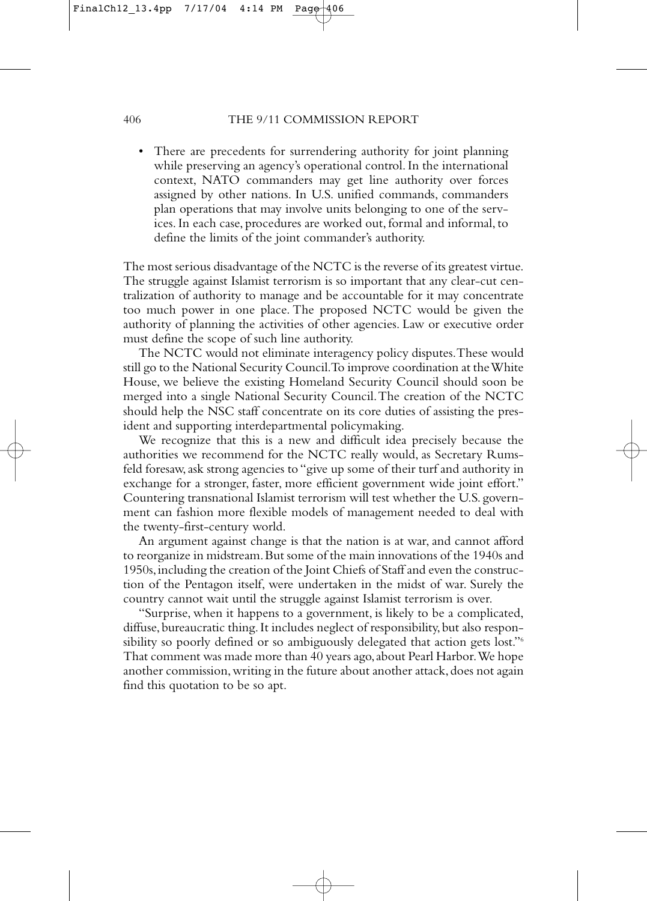• There are precedents for surrendering authority for joint planning while preserving an agency's operational control. In the international context, NATO commanders may get line authority over forces assigned by other nations. In U.S. unified commands, commanders plan operations that may involve units belonging to one of the services. In each case, procedures are worked out, formal and informal, to define the limits of the joint commander's authority.

The most serious disadvantage of the NCTC is the reverse of its greatest virtue. The struggle against Islamist terrorism is so important that any clear-cut centralization of authority to manage and be accountable for it may concentrate too much power in one place. The proposed NCTC would be given the authority of planning the activities of other agencies. Law or executive order must define the scope of such line authority.

The NCTC would not eliminate interagency policy disputes.These would still go to the National Security Council.To improve coordination at the White House, we believe the existing Homeland Security Council should soon be merged into a single National Security Council.The creation of the NCTC should help the NSC staff concentrate on its core duties of assisting the president and supporting interdepartmental policymaking.

We recognize that this is a new and difficult idea precisely because the authorities we recommend for the NCTC really would, as Secretary Rumsfeld foresaw, ask strong agencies to "give up some of their turf and authority in exchange for a stronger, faster, more efficient government wide joint effort." Countering transnational Islamist terrorism will test whether the U.S. government can fashion more flexible models of management needed to deal with the twenty-first-century world.

An argument against change is that the nation is at war, and cannot afford to reorganize in midstream.But some of the main innovations of the 1940s and 1950s,including the creation of the Joint Chiefs of Staff and even the construction of the Pentagon itself, were undertaken in the midst of war. Surely the country cannot wait until the struggle against Islamist terrorism is over.

"Surprise, when it happens to a government, is likely to be a complicated, diffuse, bureaucratic thing. It includes neglect of responsibility, but also responsibility so poorly defined or so ambiguously delegated that action gets lost."6 That comment was made more than 40 years ago, about Pearl Harbor. We hope another commission, writing in the future about another attack, does not again find this quotation to be so apt.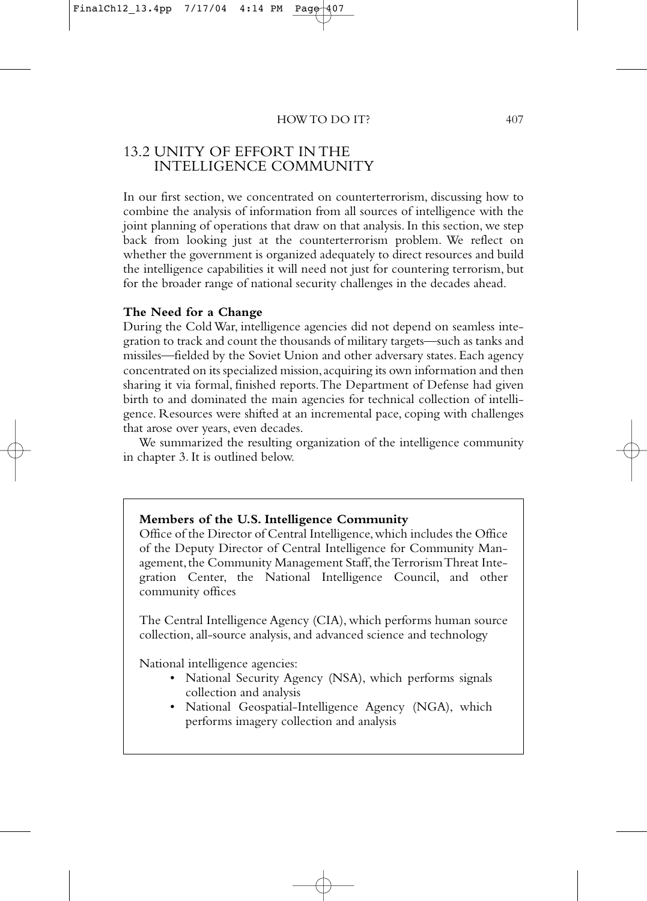# 13.2 UNITY OF EFFORT IN THE INTELLIGENCE COMMUNITY

In our first section, we concentrated on counterterrorism, discussing how to combine the analysis of information from all sources of intelligence with the joint planning of operations that draw on that analysis. In this section, we step back from looking just at the counterterrorism problem. We reflect on whether the government is organized adequately to direct resources and build the intelligence capabilities it will need not just for countering terrorism, but for the broader range of national security challenges in the decades ahead.

## **The Need for a Change**

During the Cold War, intelligence agencies did not depend on seamless integration to track and count the thousands of military targets—such as tanks and missiles—fielded by the Soviet Union and other adversary states. Each agency concentrated on its specialized mission,acquiring its own information and then sharing it via formal, finished reports.The Department of Defense had given birth to and dominated the main agencies for technical collection of intelligence. Resources were shifted at an incremental pace, coping with challenges that arose over years, even decades.

We summarized the resulting organization of the intelligence community in chapter 3. It is outlined below.

#### **Members of the U.S. Intelligence Community**

Office of the Director of Central Intelligence,which includes the Office of the Deputy Director of Central Intelligence for Community Management, the Community Management Staff, the Terrorism Threat Integration Center, the National Intelligence Council, and other community offices

The Central Intelligence Agency (CIA), which performs human source collection, all-source analysis, and advanced science and technology

National intelligence agencies:

- National Security Agency (NSA), which performs signals collection and analysis
- National Geospatial-Intelligence Agency (NGA), which performs imagery collection and analysis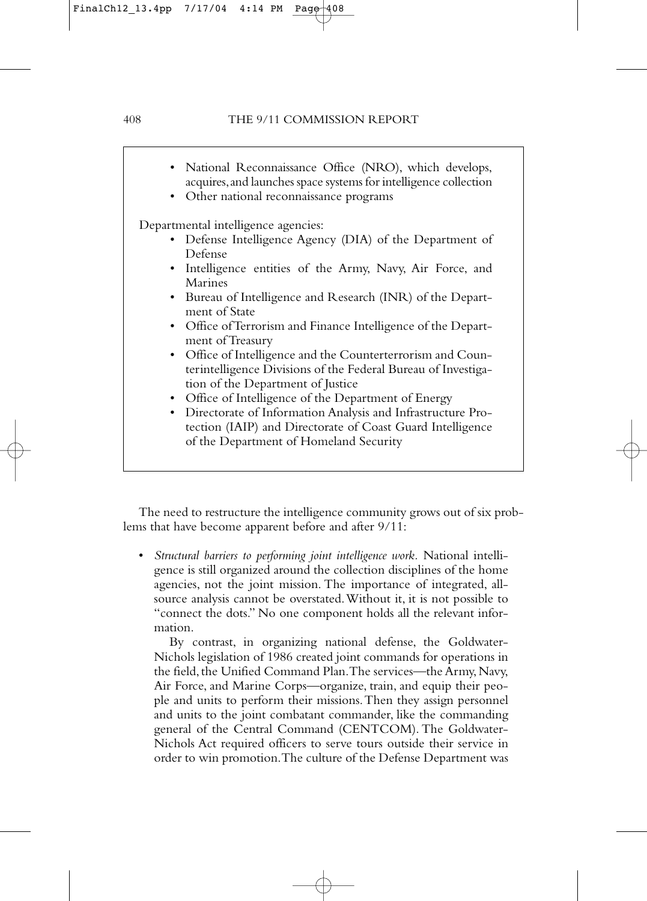- National Reconnaissance Office (NRO), which develops, acquires,and launches space systems for intelligence collection
- Other national reconnaissance programs

Departmental intelligence agencies:

- Defense Intelligence Agency (DIA) of the Department of Defense
- Intelligence entities of the Army, Navy, Air Force, and Marines
- Bureau of Intelligence and Research (INR) of the Department of State
- Office of Terrorism and Finance Intelligence of the Department of Treasury
- Office of Intelligence and the Counterterrorism and Counterintelligence Divisions of the Federal Bureau of Investigation of the Department of Justice
- Office of Intelligence of the Department of Energy
- Directorate of Information Analysis and Infrastructure Protection (IAIP) and Directorate of Coast Guard Intelligence of the Department of Homeland Security

The need to restructure the intelligence community grows out of six problems that have become apparent before and after 9/11:

• *Structural barriers to performing joint intelligence work.* National intelligence is still organized around the collection disciplines of the home agencies, not the joint mission. The importance of integrated, allsource analysis cannot be overstated.Without it, it is not possible to "connect the dots." No one component holds all the relevant information.

By contrast, in organizing national defense, the Goldwater-Nichols legislation of 1986 created joint commands for operations in the field, the Unified Command Plan. The services—the Army, Navy, Air Force, and Marine Corps—organize, train, and equip their people and units to perform their missions.Then they assign personnel and units to the joint combatant commander, like the commanding general of the Central Command (CENTCOM). The Goldwater-Nichols Act required officers to serve tours outside their service in order to win promotion.The culture of the Defense Department was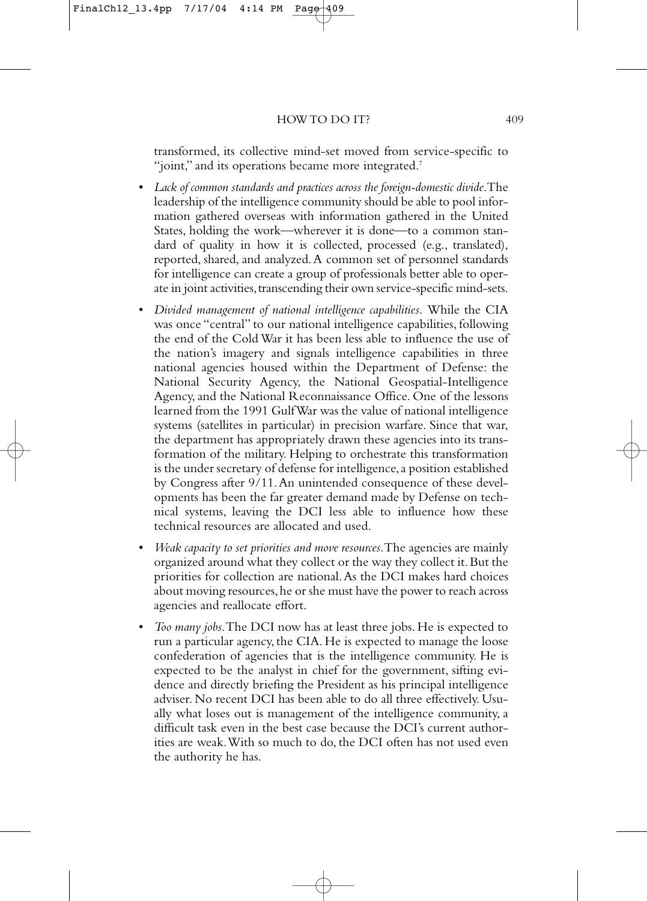#### HOW TO DO IT? 409

transformed, its collective mind-set moved from service-specific to "joint," and its operations became more integrated.<sup>7</sup>

- *Lack of common standards and practices across the foreign-domestic divide*.The leadership of the intelligence community should be able to pool information gathered overseas with information gathered in the United States, holding the work—wherever it is done—to a common standard of quality in how it is collected, processed (e.g., translated), reported, shared, and analyzed.A common set of personnel standards for intelligence can create a group of professionals better able to operate in joint activities, transcending their own service-specific mind-sets.
- *Divided management of national intelligence capabilities*. While the CIA was once "central" to our national intelligence capabilities, following the end of the Cold War it has been less able to influence the use of the nation's imagery and signals intelligence capabilities in three national agencies housed within the Department of Defense: the National Security Agency, the National Geospatial-Intelligence Agency, and the National Reconnaissance Office. One of the lessons learned from the 1991 Gulf War was the value of national intelligence systems (satellites in particular) in precision warfare. Since that war, the department has appropriately drawn these agencies into its transformation of the military. Helping to orchestrate this transformation is the under secretary of defense for intelligence, a position established by Congress after 9/11.An unintended consequence of these developments has been the far greater demand made by Defense on technical systems, leaving the DCI less able to influence how these technical resources are allocated and used.
- *Weak capacity to set priorities and move resources*.The agencies are mainly organized around what they collect or the way they collect it.But the priorities for collection are national.As the DCI makes hard choices about moving resources,he or she must have the power to reach across agencies and reallocate effort.
- *Too many jobs*.The DCI now has at least three jobs. He is expected to run a particular agency, the CIA. He is expected to manage the loose confederation of agencies that is the intelligence community. He is expected to be the analyst in chief for the government, sifting evidence and directly briefing the President as his principal intelligence adviser. No recent DCI has been able to do all three effectively. Usually what loses out is management of the intelligence community, a difficult task even in the best case because the DCI's current authorities are weak.With so much to do, the DCI often has not used even the authority he has.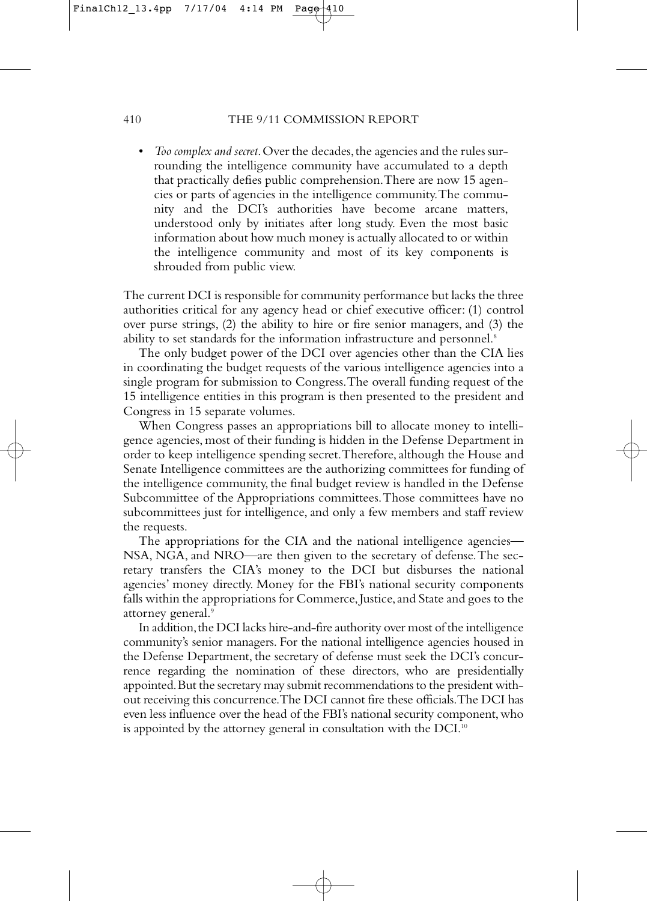• *Too complex and secret*. Over the decades, the agencies and the rules surrounding the intelligence community have accumulated to a depth that practically defies public comprehension.There are now 15 agencies or parts of agencies in the intelligence community.The community and the DCI's authorities have become arcane matters, understood only by initiates after long study. Even the most basic information about how much money is actually allocated to or within the intelligence community and most of its key components is shrouded from public view.

The current DCI is responsible for community performance but lacks the three authorities critical for any agency head or chief executive officer: (1) control over purse strings, (2) the ability to hire or fire senior managers, and (3) the ability to set standards for the information infrastructure and personnel.<sup>8</sup>

The only budget power of the DCI over agencies other than the CIA lies in coordinating the budget requests of the various intelligence agencies into a single program for submission to Congress.The overall funding request of the 15 intelligence entities in this program is then presented to the president and Congress in 15 separate volumes.

When Congress passes an appropriations bill to allocate money to intelligence agencies, most of their funding is hidden in the Defense Department in order to keep intelligence spending secret.Therefore, although the House and Senate Intelligence committees are the authorizing committees for funding of the intelligence community, the final budget review is handled in the Defense Subcommittee of the Appropriations committees.Those committees have no subcommittees just for intelligence, and only a few members and staff review the requests.

The appropriations for the CIA and the national intelligence agencies— NSA, NGA, and NRO—are then given to the secretary of defense.The secretary transfers the CIA's money to the DCI but disburses the national agencies' money directly. Money for the FBI's national security components falls within the appropriations for Commerce, Justice, and State and goes to the attorney general.<sup>9</sup>

In addition, the DCI lacks hire-and-fire authority over most of the intelligence community's senior managers. For the national intelligence agencies housed in the Defense Department, the secretary of defense must seek the DCI's concurrence regarding the nomination of these directors, who are presidentially appointed.But the secretary may submit recommendations to the president without receiving this concurrence.The DCI cannot fire these officials.The DCI has even less influence over the head of the FBI's national security component,who is appointed by the attorney general in consultation with the DCI.<sup>10</sup>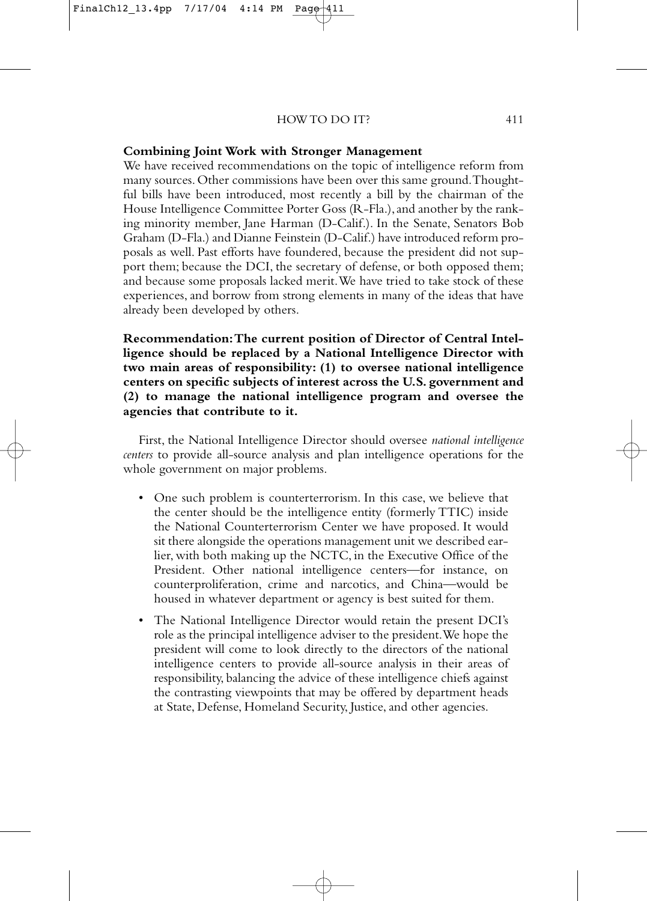#### HOW TO DO IT? 411

## **Combining Joint Work with Stronger Management**

We have received recommendations on the topic of intelligence reform from many sources. Other commissions have been over this same ground.Thoughtful bills have been introduced, most recently a bill by the chairman of the House Intelligence Committee Porter Goss (R-Fla.), and another by the ranking minority member, Jane Harman (D-Calif.). In the Senate, Senators Bob Graham (D-Fla.) and Dianne Feinstein (D-Calif.) have introduced reform proposals as well. Past efforts have foundered, because the president did not support them; because the DCI, the secretary of defense, or both opposed them; and because some proposals lacked merit.We have tried to take stock of these experiences, and borrow from strong elements in many of the ideas that have already been developed by others.

## **Recommendation:The current position of Director of Central Intelligence should be replaced by a National Intelligence Director with two main areas of responsibility: (1) to oversee national intelligence centers on specific subjects of interest across the U.S.government and (2) to manage the national intelligence program and oversee the agencies that contribute to it.**

First, the National Intelligence Director should oversee *national intelligence centers* to provide all-source analysis and plan intelligence operations for the whole government on major problems.

- One such problem is counterterrorism. In this case, we believe that the center should be the intelligence entity (formerly TTIC) inside the National Counterterrorism Center we have proposed. It would sit there alongside the operations management unit we described earlier, with both making up the NCTC, in the Executive Office of the President. Other national intelligence centers—for instance, on counterproliferation, crime and narcotics, and China—would be housed in whatever department or agency is best suited for them.
- The National Intelligence Director would retain the present DCI's role as the principal intelligence adviser to the president.We hope the president will come to look directly to the directors of the national intelligence centers to provide all-source analysis in their areas of responsibility, balancing the advice of these intelligence chiefs against the contrasting viewpoints that may be offered by department heads at State, Defense, Homeland Security, Justice, and other agencies.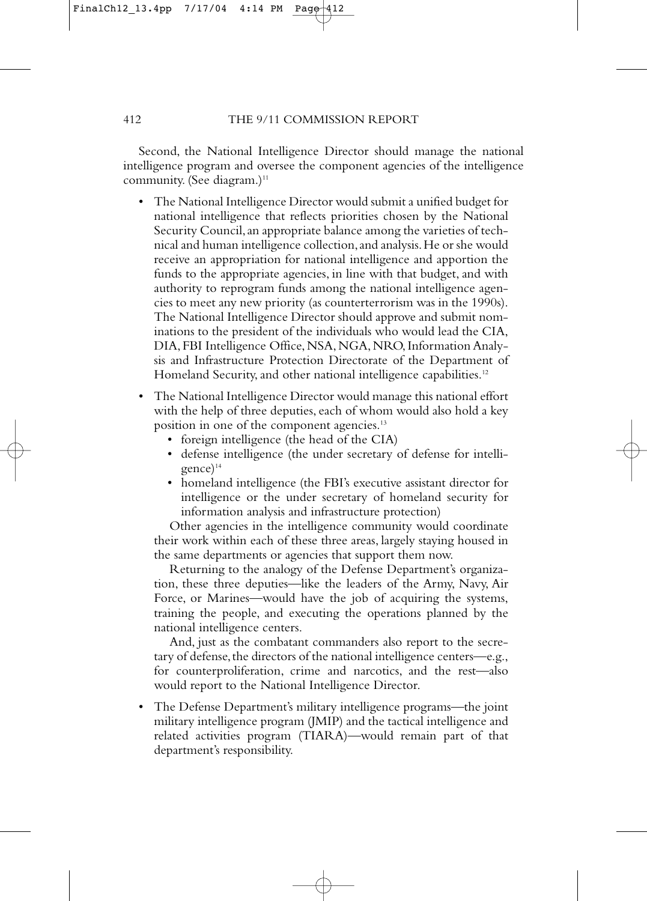Second, the National Intelligence Director should manage the national intelligence program and oversee the component agencies of the intelligence community. (See diagram.) $11$ 

- The National Intelligence Director would submit a unified budget for national intelligence that reflects priorities chosen by the National Security Council,an appropriate balance among the varieties of technical and human intelligence collection,and analysis.He or she would receive an appropriation for national intelligence and apportion the funds to the appropriate agencies, in line with that budget, and with authority to reprogram funds among the national intelligence agencies to meet any new priority (as counterterrorism was in the 1990s). The National Intelligence Director should approve and submit nominations to the president of the individuals who would lead the CIA, DIA, FBI Intelligence Office, NSA, NGA, NRO, Information Analysis and Infrastructure Protection Directorate of the Department of Homeland Security, and other national intelligence capabilities.<sup>12</sup>
- The National Intelligence Director would manage this national effort with the help of three deputies, each of whom would also hold a key position in one of the component agencies.<sup>13</sup>
	- foreign intelligence (the head of the CIA)
	- defense intelligence (the under secretary of defense for intelligence)<sup>14</sup>
	- homeland intelligence (the FBI's executive assistant director for intelligence or the under secretary of homeland security for information analysis and infrastructure protection)

Other agencies in the intelligence community would coordinate their work within each of these three areas, largely staying housed in the same departments or agencies that support them now.

Returning to the analogy of the Defense Department's organization, these three deputies—like the leaders of the Army, Navy, Air Force, or Marines—would have the job of acquiring the systems, training the people, and executing the operations planned by the national intelligence centers.

And, just as the combatant commanders also report to the secretary of defense, the directors of the national intelligence centers-e.g., for counterproliferation, crime and narcotics, and the rest—also would report to the National Intelligence Director.

• The Defense Department's military intelligence programs—the joint military intelligence program (JMIP) and the tactical intelligence and related activities program (TIARA)—would remain part of that department's responsibility.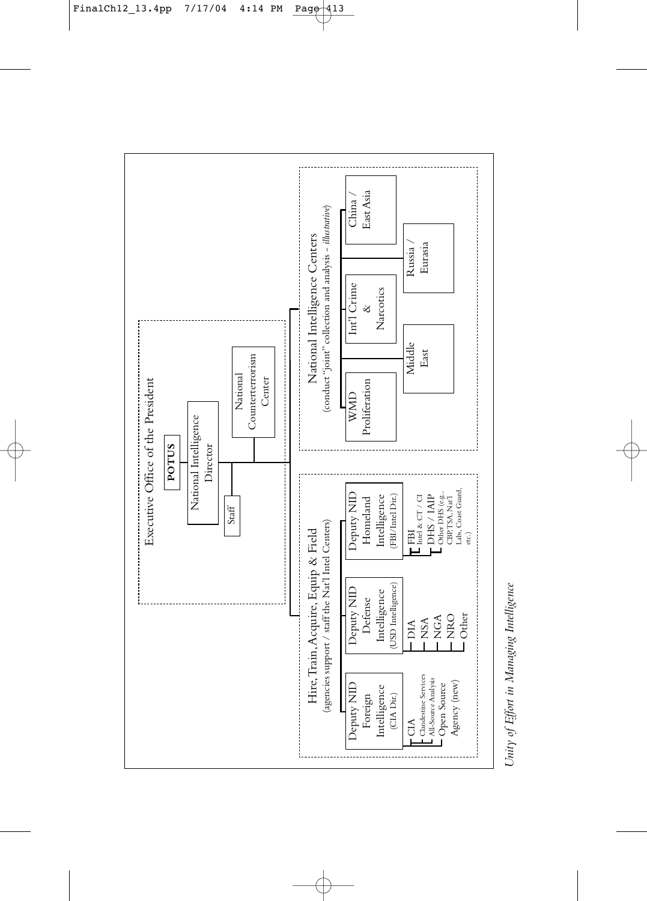

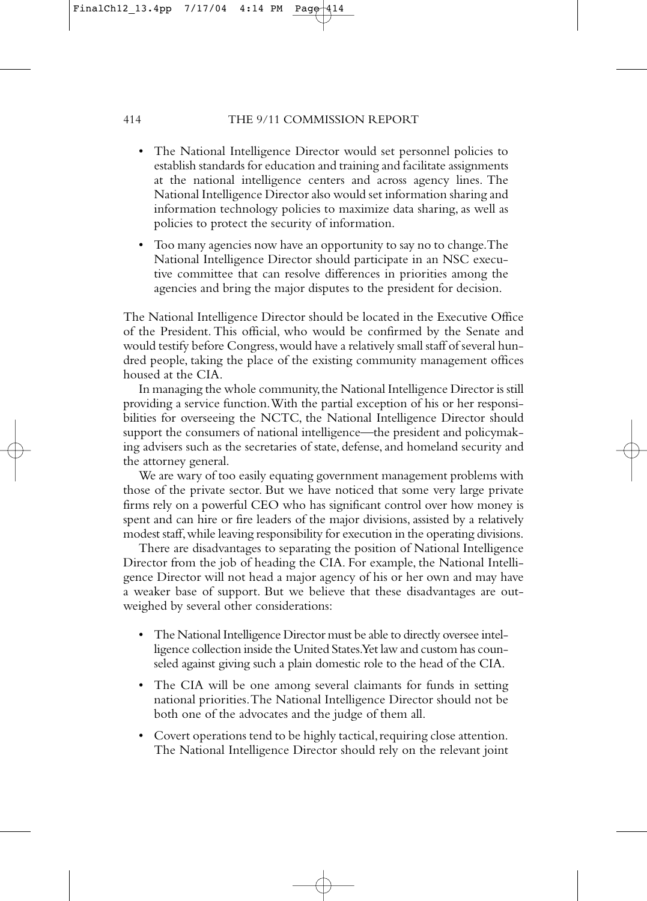- The National Intelligence Director would set personnel policies to establish standards for education and training and facilitate assignments at the national intelligence centers and across agency lines. The National Intelligence Director also would set information sharing and information technology policies to maximize data sharing, as well as policies to protect the security of information.
- Too many agencies now have an opportunity to say no to change.The National Intelligence Director should participate in an NSC executive committee that can resolve differences in priorities among the agencies and bring the major disputes to the president for decision.

The National Intelligence Director should be located in the Executive Office of the President. This official, who would be confirmed by the Senate and would testify before Congress,would have a relatively small staff of several hundred people, taking the place of the existing community management offices housed at the CIA.

In managing the whole community,the National Intelligence Director is still providing a service function.With the partial exception of his or her responsibilities for overseeing the NCTC, the National Intelligence Director should support the consumers of national intelligence—the president and policymaking advisers such as the secretaries of state, defense, and homeland security and the attorney general.

We are wary of too easily equating government management problems with those of the private sector. But we have noticed that some very large private firms rely on a powerful CEO who has significant control over how money is spent and can hire or fire leaders of the major divisions, assisted by a relatively modest staff,while leaving responsibility for execution in the operating divisions.

There are disadvantages to separating the position of National Intelligence Director from the job of heading the CIA. For example, the National Intelligence Director will not head a major agency of his or her own and may have a weaker base of support. But we believe that these disadvantages are outweighed by several other considerations:

- The National Intelligence Director must be able to directly oversee intelligence collection inside the United States.Yet law and custom has counseled against giving such a plain domestic role to the head of the CIA.
- The CIA will be one among several claimants for funds in setting national priorities.The National Intelligence Director should not be both one of the advocates and the judge of them all.
- Covert operations tend to be highly tactical, requiring close attention. The National Intelligence Director should rely on the relevant joint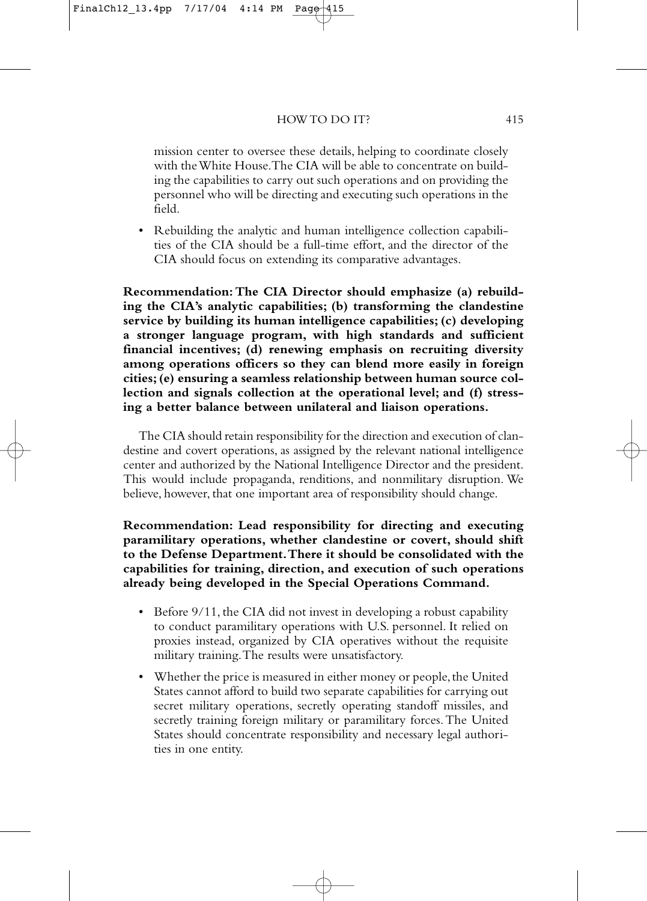#### HOW TO DO IT? 415

mission center to oversee these details, helping to coordinate closely with the White House.The CIA will be able to concentrate on building the capabilities to carry out such operations and on providing the personnel who will be directing and executing such operations in the field.

• Rebuilding the analytic and human intelligence collection capabilities of the CIA should be a full-time effort, and the director of the CIA should focus on extending its comparative advantages.

**Recommendation:The CIA Director should emphasize (a) rebuilding the CIA's analytic capabilities; (b) transforming the clandestine service by building its human intelligence capabilities; (c) developing a stronger language program, with high standards and sufficient financial incentives; (d) renewing emphasis on recruiting diversity among operations officers so they can blend more easily in foreign cities;(e) ensuring a seamless relationship between human source collection and signals collection at the operational level; and (f) stressing a better balance between unilateral and liaison operations.**

The CIA should retain responsibility for the direction and execution of clandestine and covert operations, as assigned by the relevant national intelligence center and authorized by the National Intelligence Director and the president. This would include propaganda, renditions, and nonmilitary disruption. We believe, however, that one important area of responsibility should change.

**Recommendation: Lead responsibility for directing and executing paramilitary operations, whether clandestine or covert, should shift to the Defense Department.There it should be consolidated with the capabilities for training, direction, and execution of such operations already being developed in the Special Operations Command.**

- Before 9/11, the CIA did not invest in developing a robust capability to conduct paramilitary operations with U.S. personnel. It relied on proxies instead, organized by CIA operatives without the requisite military training.The results were unsatisfactory.
- Whether the price is measured in either money or people, the United States cannot afford to build two separate capabilities for carrying out secret military operations, secretly operating standoff missiles, and secretly training foreign military or paramilitary forces.The United States should concentrate responsibility and necessary legal authorities in one entity.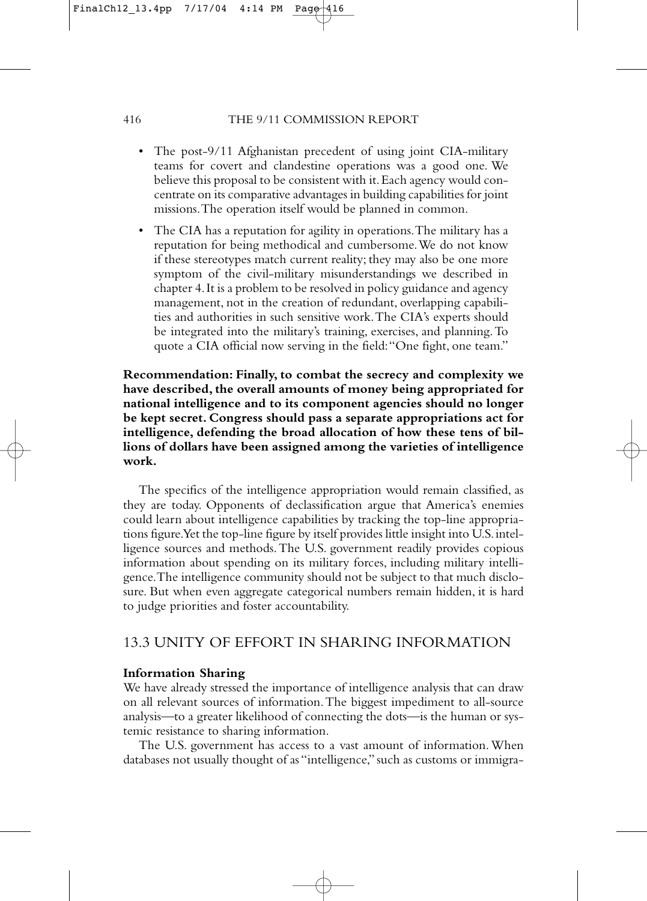- The post-9/11 Afghanistan precedent of using joint CIA-military teams for covert and clandestine operations was a good one. We believe this proposal to be consistent with it.Each agency would concentrate on its comparative advantages in building capabilities for joint missions.The operation itself would be planned in common.
- The CIA has a reputation for agility in operations.The military has a reputation for being methodical and cumbersome.We do not know if these stereotypes match current reality; they may also be one more symptom of the civil-military misunderstandings we described in chapter 4.It is a problem to be resolved in policy guidance and agency management, not in the creation of redundant, overlapping capabilities and authorities in such sensitive work.The CIA's experts should be integrated into the military's training, exercises, and planning.To quote a CIA official now serving in the field:"One fight, one team."

**Recommendation: Finally, to combat the secrecy and complexity we** have described, the overall amounts of money being appropriated for **national intelligence and to its component agencies should no longer be kept secret. Congress should pass a separate appropriations act for intelligence, defending the broad allocation of how these tens of billions of dollars have been assigned among the varieties of intelligence work.**

The specifics of the intelligence appropriation would remain classified, as they are today. Opponents of declassification argue that America's enemies could learn about intelligence capabilities by tracking the top-line appropriations figure.Yet the top-line figure by itself provides little insight into U.S.intelligence sources and methods.The U.S. government readily provides copious information about spending on its military forces, including military intelligence.The intelligence community should not be subject to that much disclosure. But when even aggregate categorical numbers remain hidden, it is hard to judge priorities and foster accountability.

# 13.3 UNITY OF EFFORT IN SHARING INFORMATION

#### **Information Sharing**

We have already stressed the importance of intelligence analysis that can draw on all relevant sources of information.The biggest impediment to all-source analysis—to a greater likelihood of connecting the dots—is the human or systemic resistance to sharing information.

The U.S. government has access to a vast amount of information. When databases not usually thought of as "intelligence," such as customs or immigra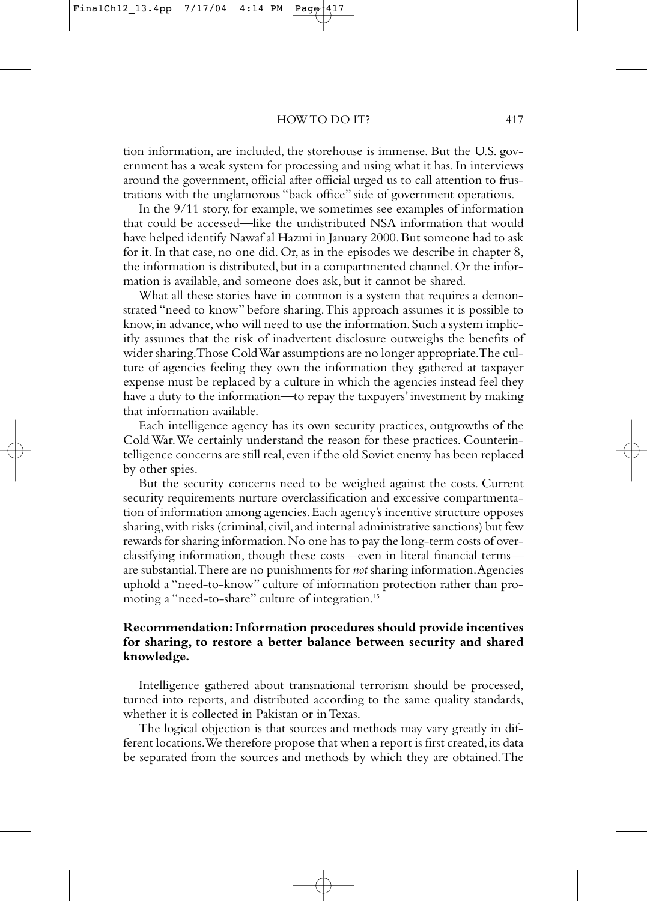tion information, are included, the storehouse is immense. But the U.S. government has a weak system for processing and using what it has. In interviews around the government, official after official urged us to call attention to frustrations with the unglamorous "back office" side of government operations.

In the 9/11 story, for example, we sometimes see examples of information that could be accessed—like the undistributed NSA information that would have helped identify Nawaf al Hazmi in January 2000.But someone had to ask for it. In that case, no one did. Or, as in the episodes we describe in chapter 8, the information is distributed, but in a compartmented channel. Or the information is available, and someone does ask, but it cannot be shared.

What all these stories have in common is a system that requires a demonstrated "need to know" before sharing.This approach assumes it is possible to know, in advance, who will need to use the information. Such a system implicitly assumes that the risk of inadvertent disclosure outweighs the benefits of wider sharing.Those Cold War assumptions are no longer appropriate.The culture of agencies feeling they own the information they gathered at taxpayer expense must be replaced by a culture in which the agencies instead feel they have a duty to the information—to repay the taxpayers' investment by making that information available.

Each intelligence agency has its own security practices, outgrowths of the Cold War.We certainly understand the reason for these practices. Counterintelligence concerns are still real, even if the old Soviet enemy has been replaced by other spies.

But the security concerns need to be weighed against the costs. Current security requirements nurture overclassification and excessive compartmentation of information among agencies.Each agency's incentive structure opposes sharing, with risks (criminal, civil, and internal administrative sanctions) but few rewards for sharing information.No one has to pay the long-term costs of overclassifying information, though these costs—even in literal financial terms are substantial.There are no punishments for *not* sharing information.Agencies uphold a "need-to-know" culture of information protection rather than promoting a "need-to-share" culture of integration.<sup>15</sup>

## **Recommendation:Information procedures should provide incentives for sharing, to restore a better balance between security and shared knowledge.**

Intelligence gathered about transnational terrorism should be processed, turned into reports, and distributed according to the same quality standards, whether it is collected in Pakistan or in Texas.

The logical objection is that sources and methods may vary greatly in different locations. We therefore propose that when a report is first created, its data be separated from the sources and methods by which they are obtained.The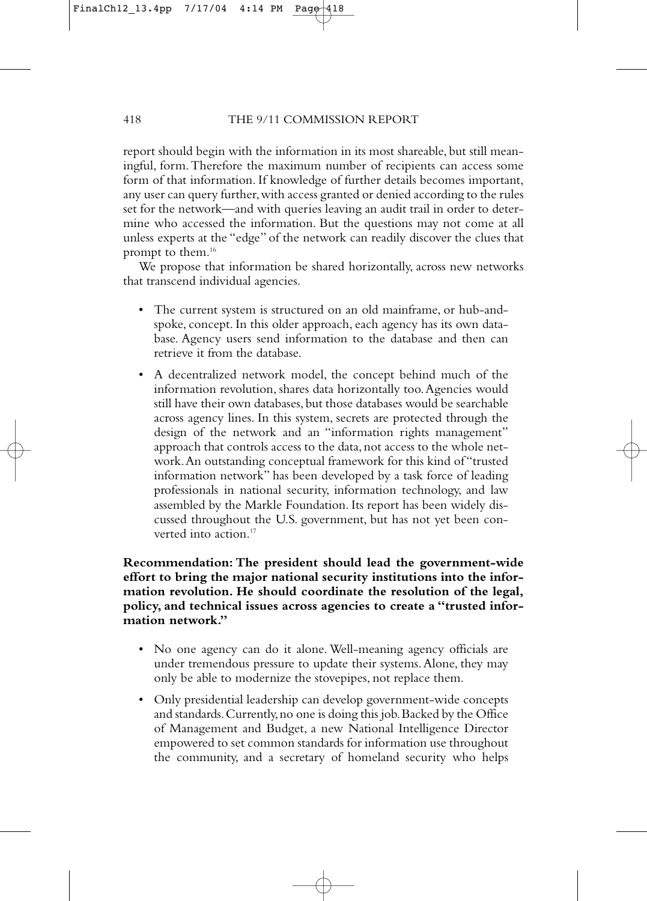report should begin with the information in its most shareable, but still meaningful, form.Therefore the maximum number of recipients can access some form of that information. If knowledge of further details becomes important, any user can query further, with access granted or denied according to the rules set for the network—and with queries leaving an audit trail in order to determine who accessed the information. But the questions may not come at all unless experts at the "edge" of the network can readily discover the clues that prompt to them.<sup>16</sup>

We propose that information be shared horizontally, across new networks that transcend individual agencies.

- The current system is structured on an old mainframe, or hub-andspoke, concept. In this older approach, each agency has its own database. Agency users send information to the database and then can retrieve it from the database.
- A decentralized network model, the concept behind much of the information revolution, shares data horizontally too.Agencies would still have their own databases, but those databases would be searchable across agency lines. In this system, secrets are protected through the design of the network and an "information rights management" approach that controls access to the data,not access to the whole network.An outstanding conceptual framework for this kind of "trusted information network" has been developed by a task force of leading professionals in national security, information technology, and law assembled by the Markle Foundation. Its report has been widely discussed throughout the U.S. government, but has not yet been converted into action.<sup>17</sup>

## **Recommendation: The president should lead the government-wide effort to bring the major national security institutions into the information revolution. He should coordinate the resolution of the legal, policy, and technical issues across agencies to create a "trusted information network."**

- No one agency can do it alone. Well-meaning agency officials are under tremendous pressure to update their systems.Alone, they may only be able to modernize the stovepipes, not replace them.
- Only presidential leadership can develop government-wide concepts and standards.Currently,no one is doing this job.Backed by the Office of Management and Budget, a new National Intelligence Director empowered to set common standards for information use throughout the community, and a secretary of homeland security who helps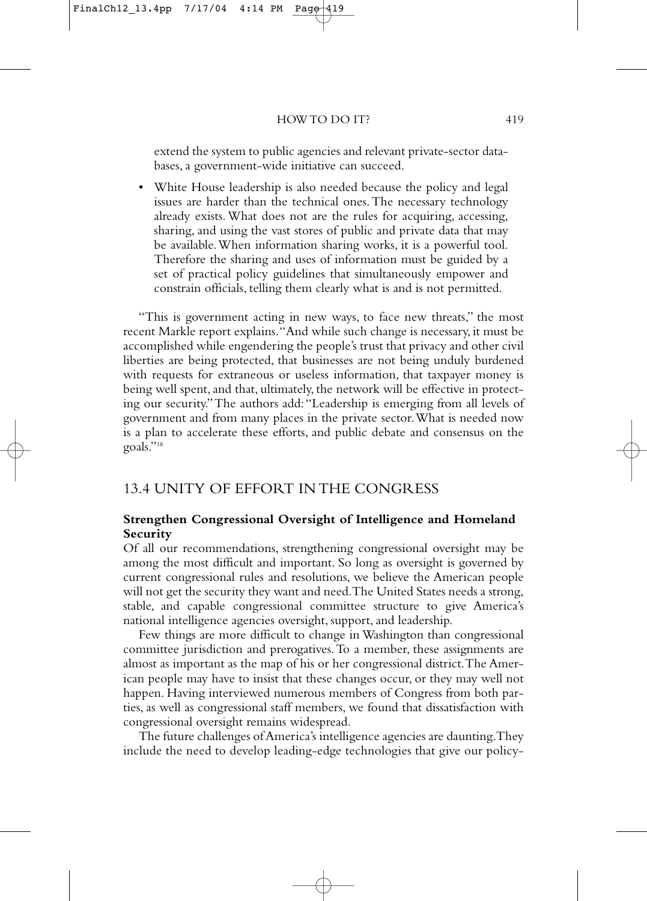#### HOW TO DO IT? 419

extend the system to public agencies and relevant private-sector databases, a government-wide initiative can succeed.

• White House leadership is also needed because the policy and legal issues are harder than the technical ones.The necessary technology already exists. What does not are the rules for acquiring, accessing, sharing, and using the vast stores of public and private data that may be available.When information sharing works, it is a powerful tool. Therefore the sharing and uses of information must be guided by a set of practical policy guidelines that simultaneously empower and constrain officials, telling them clearly what is and is not permitted.

"This is government acting in new ways, to face new threats," the most recent Markle report explains."And while such change is necessary, it must be accomplished while engendering the people's trust that privacy and other civil liberties are being protected, that businesses are not being unduly burdened with requests for extraneous or useless information, that taxpayer money is being well spent, and that, ultimately, the network will be effective in protecting our security."The authors add:"Leadership is emerging from all levels of government and from many places in the private sector.What is needed now is a plan to accelerate these efforts, and public debate and consensus on the goals."18

# 13.4 UNITY OF EFFORT IN THE CONGRESS

## **Strengthen Congressional Oversight of Intelligence and Homeland Security**

Of all our recommendations, strengthening congressional oversight may be among the most difficult and important. So long as oversight is governed by current congressional rules and resolutions, we believe the American people will not get the security they want and need.The United States needs a strong, stable, and capable congressional committee structure to give America's national intelligence agencies oversight, support, and leadership.

Few things are more difficult to change in Washington than congressional committee jurisdiction and prerogatives.To a member, these assignments are almost as important as the map of his or her congressional district.The American people may have to insist that these changes occur, or they may well not happen. Having interviewed numerous members of Congress from both parties, as well as congressional staff members, we found that dissatisfaction with congressional oversight remains widespread.

The future challenges of America's intelligence agencies are daunting.They include the need to develop leading-edge technologies that give our policy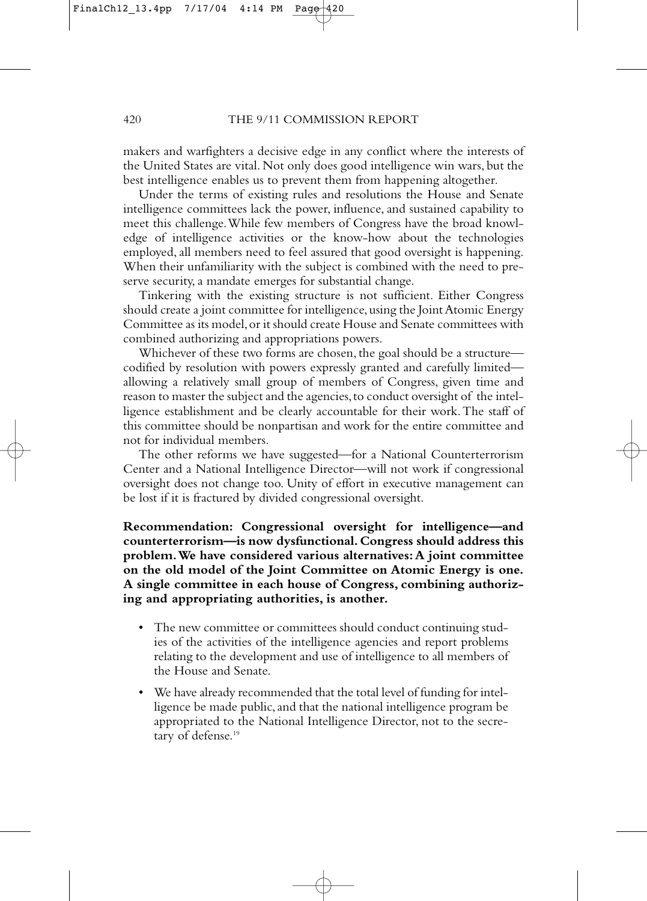makers and warfighters a decisive edge in any conflict where the interests of the United States are vital. Not only does good intelligence win wars, but the best intelligence enables us to prevent them from happening altogether.

Under the terms of existing rules and resolutions the House and Senate intelligence committees lack the power, influence, and sustained capability to meet this challenge.While few members of Congress have the broad knowledge of intelligence activities or the know-how about the technologies employed, all members need to feel assured that good oversight is happening. When their unfamiliarity with the subject is combined with the need to preserve security, a mandate emerges for substantial change.

Tinkering with the existing structure is not sufficient. Either Congress should create a joint committee for intelligence, using the Joint Atomic Energy Committee as its model,or it should create House and Senate committees with combined authorizing and appropriations powers.

Whichever of these two forms are chosen, the goal should be a structure codified by resolution with powers expressly granted and carefully limited allowing a relatively small group of members of Congress, given time and reason to master the subject and the agencies,to conduct oversight of the intelligence establishment and be clearly accountable for their work.The staff of this committee should be nonpartisan and work for the entire committee and not for individual members.

The other reforms we have suggested—for a National Counterterrorism Center and a National Intelligence Director—will not work if congressional oversight does not change too. Unity of effort in executive management can be lost if it is fractured by divided congressional oversight.

**Recommendation: Congressional oversight for intelligence—and counterterrorism—is now dysfunctional.Congress should address this problem.We have considered various alternatives:A joint committee on the old model of the Joint Committee on Atomic Energy is one. A single committee in each house of Congress, combining authorizing and appropriating authorities, is another.**

- The new committee or committees should conduct continuing studies of the activities of the intelligence agencies and report problems relating to the development and use of intelligence to all members of the House and Senate.
- We have already recommended that the total level of funding for intelligence be made public, and that the national intelligence program be appropriated to the National Intelligence Director, not to the secretary of defense.<sup>19</sup>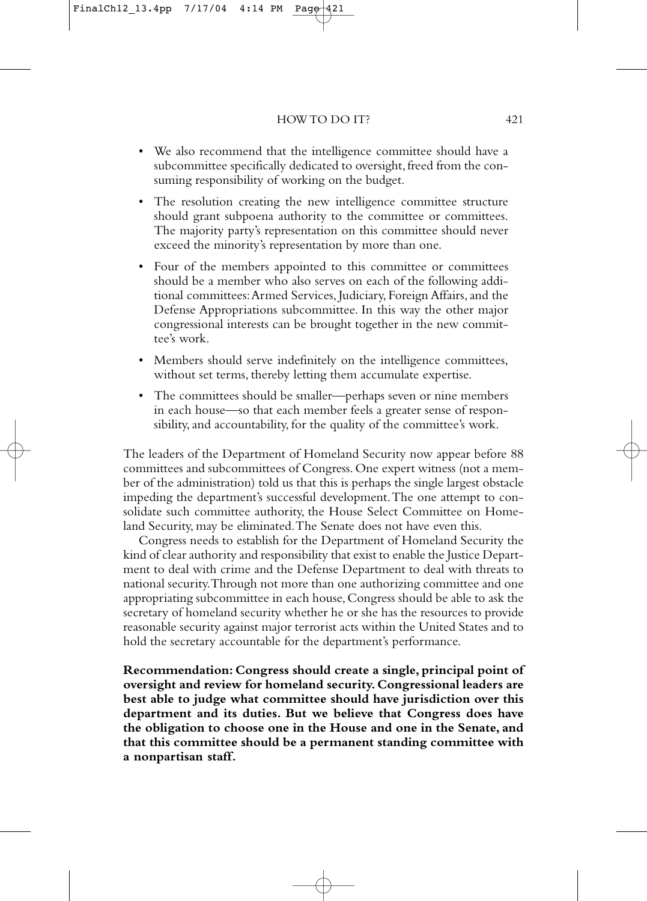- We also recommend that the intelligence committee should have a subcommittee specifically dedicated to oversight, freed from the consuming responsibility of working on the budget.
- The resolution creating the new intelligence committee structure should grant subpoena authority to the committee or committees. The majority party's representation on this committee should never exceed the minority's representation by more than one.
- Four of the members appointed to this committee or committees should be a member who also serves on each of the following additional committees:Armed Services, Judiciary, Foreign Affairs, and the Defense Appropriations subcommittee. In this way the other major congressional interests can be brought together in the new committee's work.
- Members should serve indefinitely on the intelligence committees, without set terms, thereby letting them accumulate expertise.
- The committees should be smaller—perhaps seven or nine members in each house—so that each member feels a greater sense of responsibility, and accountability, for the quality of the committee's work.

The leaders of the Department of Homeland Security now appear before 88 committees and subcommittees of Congress. One expert witness (not a member of the administration) told us that this is perhaps the single largest obstacle impeding the department's successful development.The one attempt to consolidate such committee authority, the House Select Committee on Homeland Security, may be eliminated.The Senate does not have even this.

Congress needs to establish for the Department of Homeland Security the kind of clear authority and responsibility that exist to enable the Justice Department to deal with crime and the Defense Department to deal with threats to national security.Through not more than one authorizing committee and one appropriating subcommittee in each house,Congress should be able to ask the secretary of homeland security whether he or she has the resources to provide reasonable security against major terrorist acts within the United States and to hold the secretary accountable for the department's performance.

**Recommendation:Congress should create a single,principal point of oversight and review for homeland security.Congressional leaders are best able to judge what committee should have jurisdiction over this department and its duties. But we believe that Congress does have the obligation to choose one in the House and one in the Senate, and that this committee should be a permanent standing committee with a nonpartisan staff.**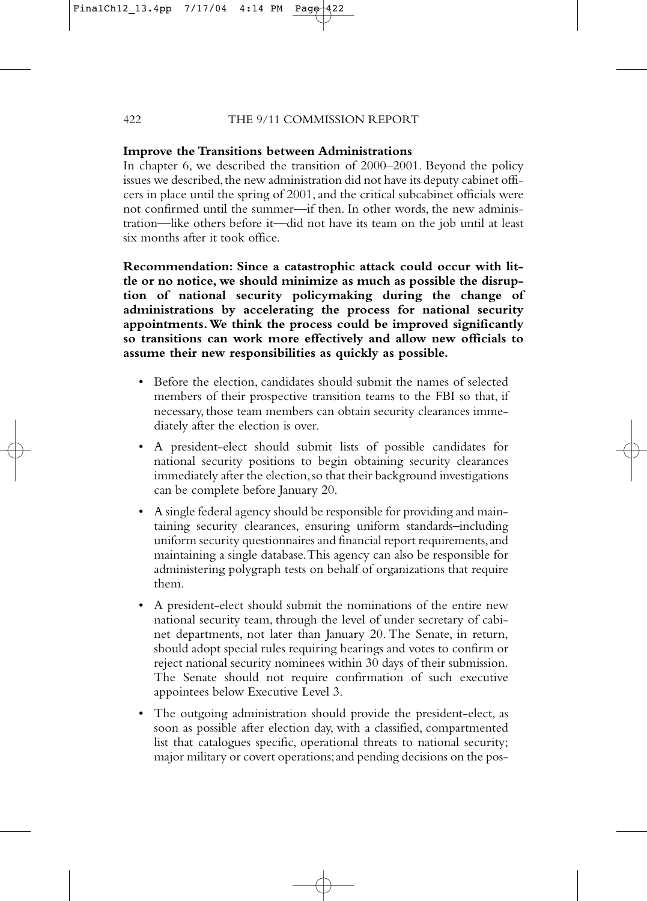## **Improve the Transitions between Administrations**

In chapter 6, we described the transition of 2000–2001. Beyond the policy issues we described, the new administration did not have its deputy cabinet officers in place until the spring of 2001, and the critical subcabinet officials were not confirmed until the summer—if then. In other words, the new administration—like others before it—did not have its team on the job until at least six months after it took office.

**Recommendation: Since a catastrophic attack could occur with little or no notice, we should minimize as much as possible the disruption of national security policymaking during the change of administrations by accelerating the process for national security appointments.We think the process could be improved significantly so transitions can work more effectively and allow new officials to assume their new responsibilities as quickly as possible.**

- Before the election, candidates should submit the names of selected members of their prospective transition teams to the FBI so that, if necessary, those team members can obtain security clearances immediately after the election is over.
- A president-elect should submit lists of possible candidates for national security positions to begin obtaining security clearances immediately after the election,so that their background investigations can be complete before January 20.
- A single federal agency should be responsible for providing and maintaining security clearances, ensuring uniform standards–including uniform security questionnaires and financial report requirements,and maintaining a single database.This agency can also be responsible for administering polygraph tests on behalf of organizations that require them.
- A president-elect should submit the nominations of the entire new national security team, through the level of under secretary of cabinet departments, not later than January 20. The Senate, in return, should adopt special rules requiring hearings and votes to confirm or reject national security nominees within 30 days of their submission. The Senate should not require confirmation of such executive appointees below Executive Level 3.
- The outgoing administration should provide the president-elect, as soon as possible after election day, with a classified, compartmented list that catalogues specific, operational threats to national security; major military or covert operations;and pending decisions on the pos-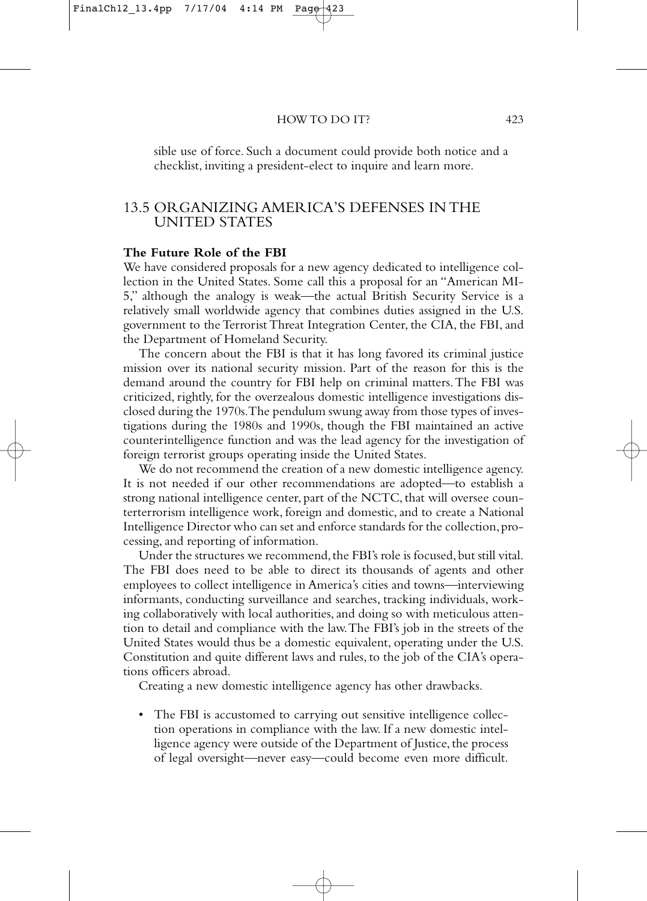sible use of force. Such a document could provide both notice and a checklist, inviting a president-elect to inquire and learn more.

# 13.5 ORGANIZING AMERICA'S DEFENSES IN THE UNITED STATES

#### **The Future Role of the FBI**

We have considered proposals for a new agency dedicated to intelligence collection in the United States. Some call this a proposal for an "American MI-5," although the analogy is weak—the actual British Security Service is a relatively small worldwide agency that combines duties assigned in the U.S. government to the Terrorist Threat Integration Center, the CIA, the FBI, and the Department of Homeland Security.

The concern about the FBI is that it has long favored its criminal justice mission over its national security mission. Part of the reason for this is the demand around the country for FBI help on criminal matters.The FBI was criticized, rightly, for the overzealous domestic intelligence investigations disclosed during the 1970s.The pendulum swung away from those types of investigations during the 1980s and 1990s, though the FBI maintained an active counterintelligence function and was the lead agency for the investigation of foreign terrorist groups operating inside the United States.

We do not recommend the creation of a new domestic intelligence agency. It is not needed if our other recommendations are adopted—to establish a strong national intelligence center, part of the NCTC, that will oversee counterterrorism intelligence work, foreign and domestic, and to create a National Intelligence Director who can set and enforce standards for the collection, processing, and reporting of information.

Under the structures we recommend, the FBI's role is focused, but still vital. The FBI does need to be able to direct its thousands of agents and other employees to collect intelligence in America's cities and towns—interviewing informants, conducting surveillance and searches, tracking individuals, working collaboratively with local authorities, and doing so with meticulous attention to detail and compliance with the law.The FBI's job in the streets of the United States would thus be a domestic equivalent, operating under the U.S. Constitution and quite different laws and rules, to the job of the CIA's operations officers abroad.

Creating a new domestic intelligence agency has other drawbacks.

• The FBI is accustomed to carrying out sensitive intelligence collection operations in compliance with the law. If a new domestic intelligence agency were outside of the Department of Justice, the process of legal oversight—never easy—could become even more difficult.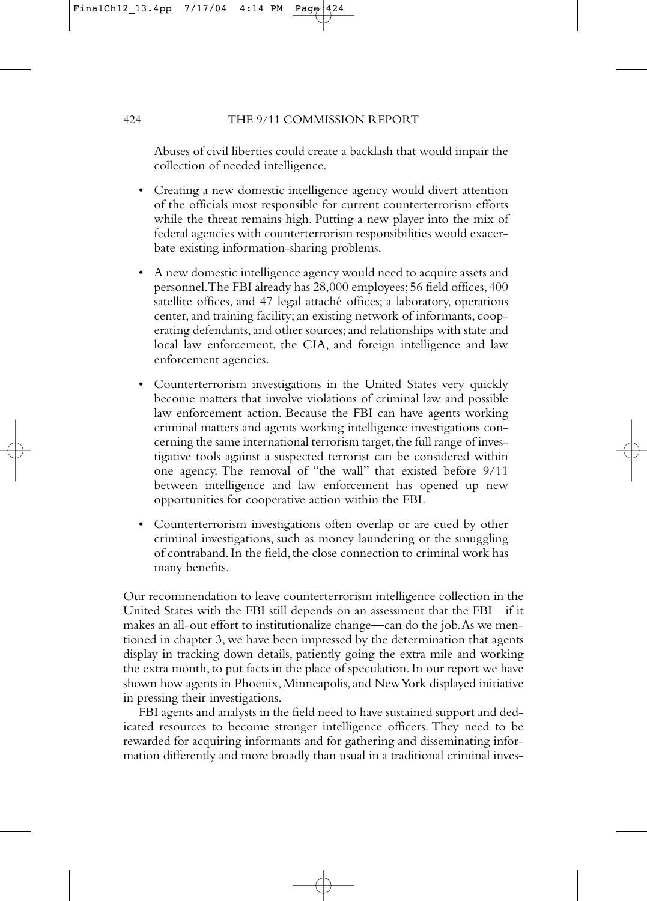Abuses of civil liberties could create a backlash that would impair the collection of needed intelligence.

- Creating a new domestic intelligence agency would divert attention of the officials most responsible for current counterterrorism efforts while the threat remains high. Putting a new player into the mix of federal agencies with counterterrorism responsibilities would exacerbate existing information-sharing problems.
- A new domestic intelligence agency would need to acquire assets and personnel.The FBI already has 28,000 employees;56 field offices,400 satellite offices, and 47 legal attaché offices; a laboratory, operations center, and training facility; an existing network of informants, cooperating defendants, and other sources; and relationships with state and local law enforcement, the CIA, and foreign intelligence and law enforcement agencies.
- Counterterrorism investigations in the United States very quickly become matters that involve violations of criminal law and possible law enforcement action. Because the FBI can have agents working criminal matters and agents working intelligence investigations concerning the same international terrorism target, the full range of investigative tools against a suspected terrorist can be considered within one agency. The removal of "the wall" that existed before 9/11 between intelligence and law enforcement has opened up new opportunities for cooperative action within the FBI.
- Counterterrorism investigations often overlap or are cued by other criminal investigations, such as money laundering or the smuggling of contraband. In the field, the close connection to criminal work has many benefits.

Our recommendation to leave counterterrorism intelligence collection in the United States with the FBI still depends on an assessment that the FBI—if it makes an all-out effort to institutionalize change—can do the job.As we mentioned in chapter 3, we have been impressed by the determination that agents display in tracking down details, patiently going the extra mile and working the extra month, to put facts in the place of speculation. In our report we have shown how agents in Phoenix,Minneapolis,and New York displayed initiative in pressing their investigations.

FBI agents and analysts in the field need to have sustained support and dedicated resources to become stronger intelligence officers. They need to be rewarded for acquiring informants and for gathering and disseminating information differently and more broadly than usual in a traditional criminal inves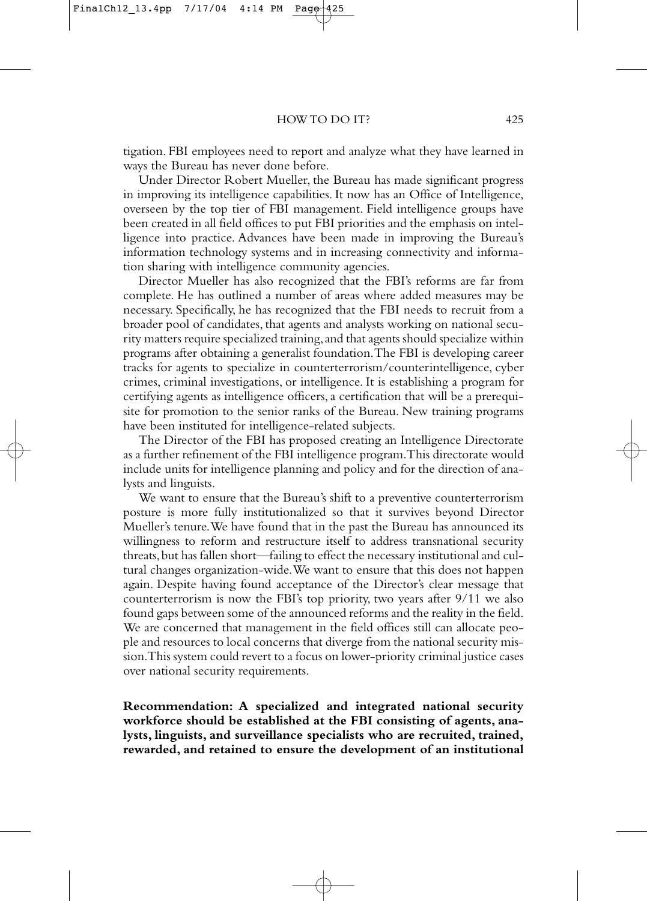tigation. FBI employees need to report and analyze what they have learned in ways the Bureau has never done before.

Under Director Robert Mueller, the Bureau has made significant progress in improving its intelligence capabilities. It now has an Office of Intelligence, overseen by the top tier of FBI management. Field intelligence groups have been created in all field offices to put FBI priorities and the emphasis on intelligence into practice. Advances have been made in improving the Bureau's information technology systems and in increasing connectivity and information sharing with intelligence community agencies.

Director Mueller has also recognized that the FBI's reforms are far from complete. He has outlined a number of areas where added measures may be necessary. Specifically, he has recognized that the FBI needs to recruit from a broader pool of candidates, that agents and analysts working on national security matters require specialized training, and that agents should specialize within programs after obtaining a generalist foundation.The FBI is developing career tracks for agents to specialize in counterterrorism/counterintelligence, cyber crimes, criminal investigations, or intelligence. It is establishing a program for certifying agents as intelligence officers, a certification that will be a prerequisite for promotion to the senior ranks of the Bureau. New training programs have been instituted for intelligence-related subjects.

The Director of the FBI has proposed creating an Intelligence Directorate as a further refinement of the FBI intelligence program.This directorate would include units for intelligence planning and policy and for the direction of analysts and linguists.

We want to ensure that the Bureau's shift to a preventive counterterrorism posture is more fully institutionalized so that it survives beyond Director Mueller's tenure.We have found that in the past the Bureau has announced its willingness to reform and restructure itself to address transnational security threats,but has fallen short—failing to effect the necessary institutional and cultural changes organization-wide.We want to ensure that this does not happen again. Despite having found acceptance of the Director's clear message that counterterrorism is now the FBI's top priority, two years after 9/11 we also found gaps between some of the announced reforms and the reality in the field. We are concerned that management in the field offices still can allocate people and resources to local concerns that diverge from the national security mission.This system could revert to a focus on lower-priority criminal justice cases over national security requirements.

**Recommendation: A specialized and integrated national security workforce should be established at the FBI consisting of agents, analysts, linguists, and surveillance specialists who are recruited, trained, rewarded, and retained to ensure the development of an institutional**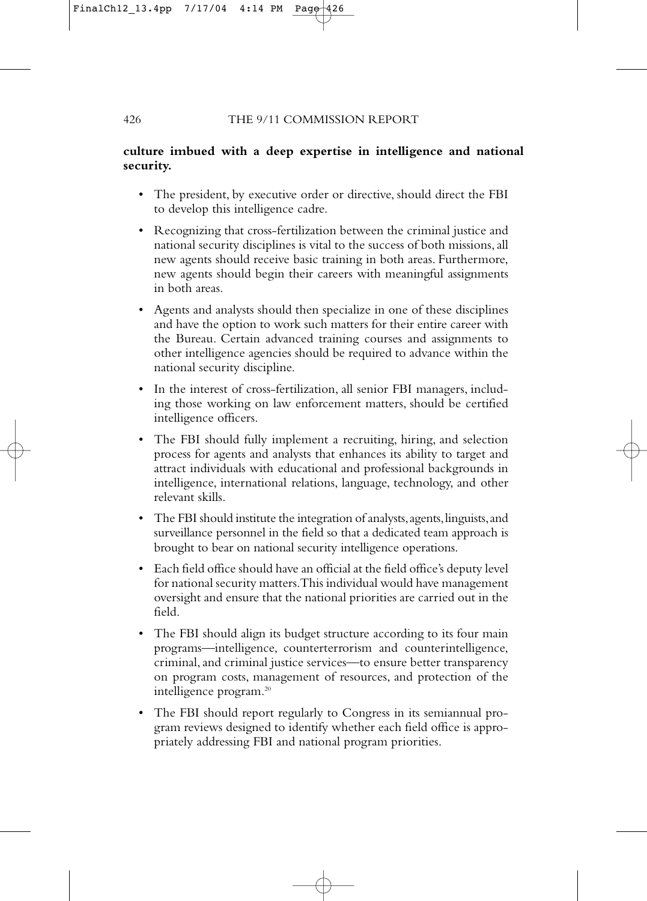# **culture imbued with a deep expertise in intelligence and national security.**

- The president, by executive order or directive, should direct the FBI to develop this intelligence cadre.
- Recognizing that cross-fertilization between the criminal justice and national security disciplines is vital to the success of both missions, all new agents should receive basic training in both areas. Furthermore, new agents should begin their careers with meaningful assignments in both areas.
- Agents and analysts should then specialize in one of these disciplines and have the option to work such matters for their entire career with the Bureau. Certain advanced training courses and assignments to other intelligence agencies should be required to advance within the national security discipline.
- In the interest of cross-fertilization, all senior FBI managers, including those working on law enforcement matters, should be certified intelligence officers.
- The FBI should fully implement a recruiting, hiring, and selection process for agents and analysts that enhances its ability to target and attract individuals with educational and professional backgrounds in intelligence, international relations, language, technology, and other relevant skills.
- The FBI should institute the integration of analysts, agents, linguists, and surveillance personnel in the field so that a dedicated team approach is brought to bear on national security intelligence operations.
- Each field office should have an official at the field office's deputy level for national security matters.This individual would have management oversight and ensure that the national priorities are carried out in the field.
- The FBI should align its budget structure according to its four main programs—intelligence, counterterrorism and counterintelligence, criminal, and criminal justice services—to ensure better transparency on program costs, management of resources, and protection of the intelligence program.20
- The FBI should report regularly to Congress in its semiannual program reviews designed to identify whether each field office is appropriately addressing FBI and national program priorities.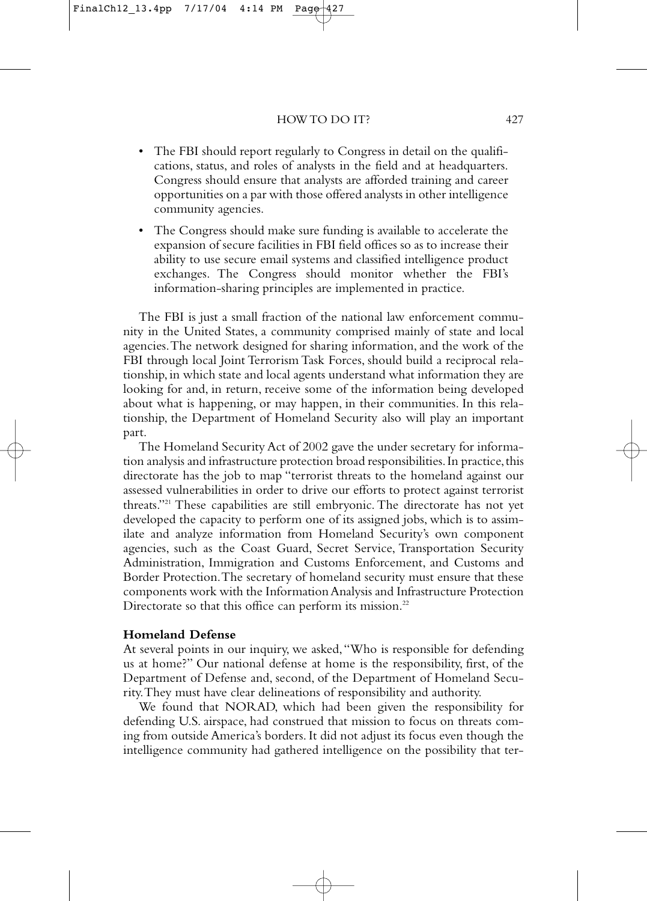#### HOW TO DO IT? 427

- The FBI should report regularly to Congress in detail on the qualifications, status, and roles of analysts in the field and at headquarters. Congress should ensure that analysts are afforded training and career opportunities on a par with those offered analysts in other intelligence community agencies.
- The Congress should make sure funding is available to accelerate the expansion of secure facilities in FBI field offices so as to increase their ability to use secure email systems and classified intelligence product exchanges. The Congress should monitor whether the FBI's information-sharing principles are implemented in practice.

The FBI is just a small fraction of the national law enforcement community in the United States, a community comprised mainly of state and local agencies.The network designed for sharing information, and the work of the FBI through local Joint Terrorism Task Forces, should build a reciprocal relationship, in which state and local agents understand what information they are looking for and, in return, receive some of the information being developed about what is happening, or may happen, in their communities. In this relationship, the Department of Homeland Security also will play an important part.

The Homeland Security Act of 2002 gave the under secretary for information analysis and infrastructure protection broad responsibilities. In practice, this directorate has the job to map "terrorist threats to the homeland against our assessed vulnerabilities in order to drive our efforts to protect against terrorist threats."21 These capabilities are still embryonic. The directorate has not yet developed the capacity to perform one of its assigned jobs, which is to assimilate and analyze information from Homeland Security's own component agencies, such as the Coast Guard, Secret Service, Transportation Security Administration, Immigration and Customs Enforcement, and Customs and Border Protection.The secretary of homeland security must ensure that these components work with the Information Analysis and Infrastructure Protection Directorate so that this office can perform its mission.<sup>22</sup>

### **Homeland Defense**

At several points in our inquiry, we asked,"Who is responsible for defending us at home?" Our national defense at home is the responsibility, first, of the Department of Defense and, second, of the Department of Homeland Security.They must have clear delineations of responsibility and authority.

We found that NORAD, which had been given the responsibility for defending U.S. airspace, had construed that mission to focus on threats coming from outside America's borders. It did not adjust its focus even though the intelligence community had gathered intelligence on the possibility that ter